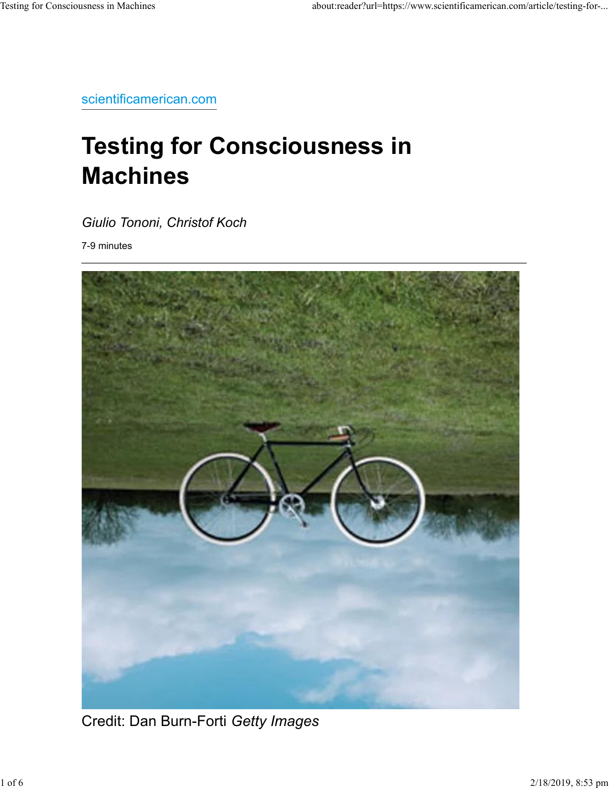scientificamerican.com

## **Testing for Consciousness in Machines**

*Giulio Tononi, Christof Koch*

7-9 minutes



Credit: Dan Burn-Forti *Getty Images*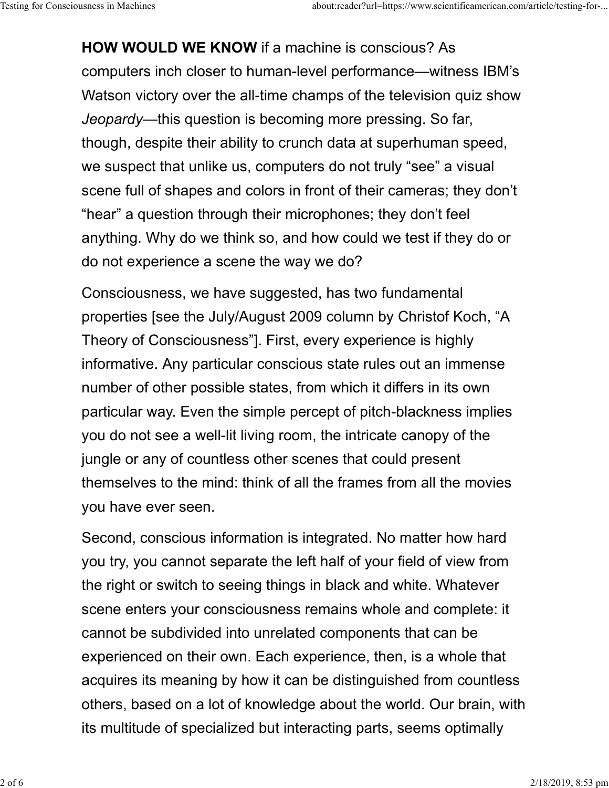**HOW WOULD WE KNOW** if a machine is conscious? As computers inch closer to human-level performance—witness IBM's Watson victory over the all-time champs of the television quiz show *Jeopardy*—this question is becoming more pressing. So far, though, despite their ability to crunch data at superhuman speed, we suspect that unlike us, computers do not truly "see" a visual scene full of shapes and colors in front of their cameras; they don't "hear" a question through their microphones; they don't feel anything. Why do we think so, and how could we test if they do or do not experience a scene the way we do?

Consciousness, we have suggested, has two fundamental properties [see the July/August 2009 column by Christof Koch, "A Theory of Consciousness"]. First, every experience is highly informative. Any particular conscious state rules out an immense number of other possible states, from which it differs in its own particular way. Even the simple percept of pitch-blackness implies you do not see a well-lit living room, the intricate canopy of the jungle or any of countless other scenes that could present themselves to the mind: think of all the frames from all the movies you have ever seen.

Second, conscious information is integrated. No matter how hard you try, you cannot separate the left half of your field of view from the right or switch to seeing things in black and white. Whatever scene enters your consciousness remains whole and complete: it cannot be subdivided into unrelated components that can be experienced on their own. Each experience, then, is a whole that acquires its meaning by how it can be distinguished from countless others, based on a lot of knowledge about the world. Our brain, with its multitude of specialized but interacting parts, seems optimally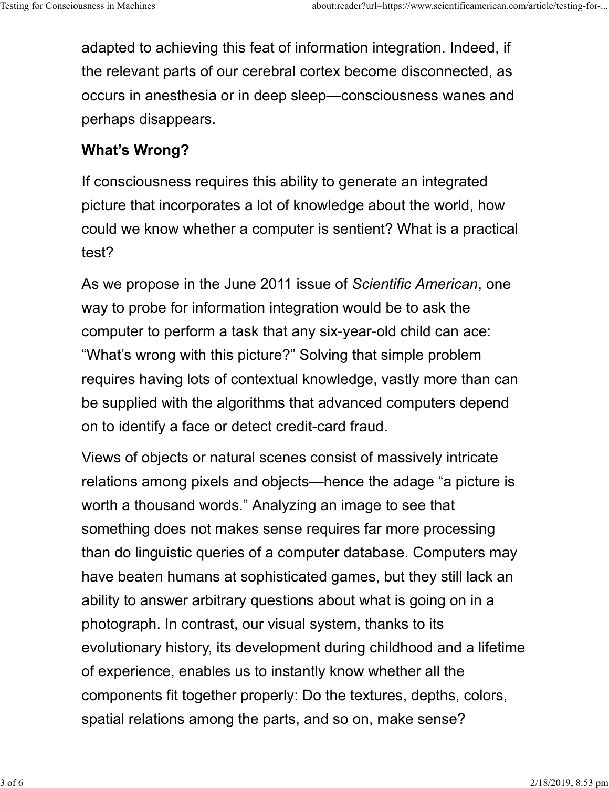adapted to achieving this feat of information integration. Indeed, if the relevant parts of our cerebral cortex become disconnected, as occurs in anesthesia or in deep sleep—consciousness wanes and perhaps disappears.

## **What's Wrong?**

If consciousness requires this ability to generate an integrated picture that incorporates a lot of knowledge about the world, how could we know whether a computer is sentient? What is a practical test?

As we propose in the June 2011 issue of *Scientific American*, one way to probe for information integration would be to ask the computer to perform a task that any six-year-old child can ace: "What's wrong with this picture?" Solving that simple problem requires having lots of contextual knowledge, vastly more than can be supplied with the algorithms that advanced computers depend on to identify a face or detect credit-card fraud.

Views of objects or natural scenes consist of massively intricate relations among pixels and objects—hence the adage "a picture is worth a thousand words." Analyzing an image to see that something does not makes sense requires far more processing than do linguistic queries of a computer database. Computers may have beaten humans at sophisticated games, but they still lack an ability to answer arbitrary questions about what is going on in a photograph. In contrast, our visual system, thanks to its evolutionary history, its development during childhood and a lifetime of experience, enables us to instantly know whether all the components fit together properly: Do the textures, depths, colors, spatial relations among the parts, and so on, make sense?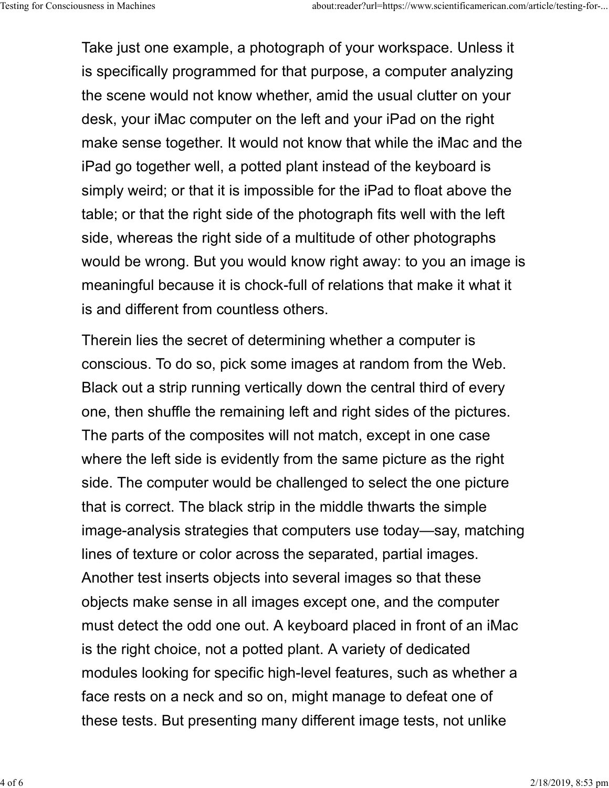Take just one example, a photograph of your workspace. Unless it is specifically programmed for that purpose, a computer analyzing the scene would not know whether, amid the usual clutter on your desk, your iMac computer on the left and your iPad on the right make sense together. It would not know that while the iMac and the iPad go together well, a potted plant instead of the keyboard is simply weird; or that it is impossible for the iPad to float above the table; or that the right side of the photograph fits well with the left side, whereas the right side of a multitude of other photographs would be wrong. But you would know right away: to you an image is meaningful because it is chock-full of relations that make it what it is and different from countless others.

Therein lies the secret of determining whether a computer is conscious. To do so, pick some images at random from the Web. Black out a strip running vertically down the central third of every one, then shuffle the remaining left and right sides of the pictures. The parts of the composites will not match, except in one case where the left side is evidently from the same picture as the right side. The computer would be challenged to select the one picture that is correct. The black strip in the middle thwarts the simple image-analysis strategies that computers use today—say, matching lines of texture or color across the separated, partial images. Another test inserts objects into several images so that these objects make sense in all images except one, and the computer must detect the odd one out. A keyboard placed in front of an iMac is the right choice, not a potted plant. A variety of dedicated modules looking for specific high-level features, such as whether a face rests on a neck and so on, might manage to defeat one of these tests. But presenting many different image tests, not unlike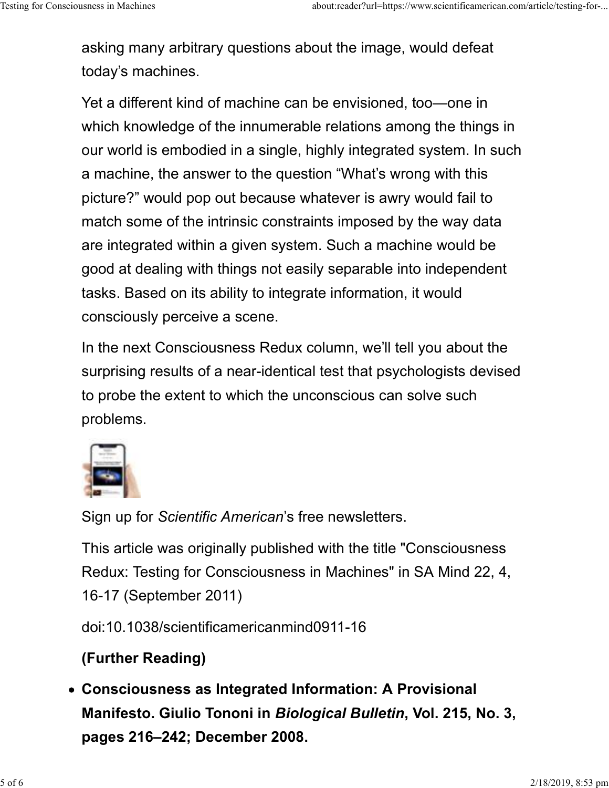asking many arbitrary questions about the image, would defeat today's machines.

Yet a different kind of machine can be envisioned, too—one in which knowledge of the innumerable relations among the things in our world is embodied in a single, highly integrated system. In such a machine, the answer to the question "What's wrong with this picture?" would pop out because whatever is awry would fail to match some of the intrinsic constraints imposed by the way data are integrated within a given system. Such a machine would be good at dealing with things not easily separable into independent tasks. Based on its ability to integrate information, it would consciously perceive a scene.

In the next Consciousness Redux column, we'll tell you about the surprising results of a near-identical test that psychologists devised to probe the extent to which the unconscious can solve such problems.



Sign up for *Scientific American*'s free newsletters.

This article was originally published with the title "Consciousness Redux: Testing for Consciousness in Machines" in SA Mind 22, 4, 16-17 (September 2011)

doi:10.1038/scientificamericanmind0911-16

## **(Further Reading)**

**Consciousness as Integrated Information: A Provisional Manifesto. Giulio Tononi in** *Biological Bulletin***, Vol. 215, No. 3, pages 216–242; December 2008.**